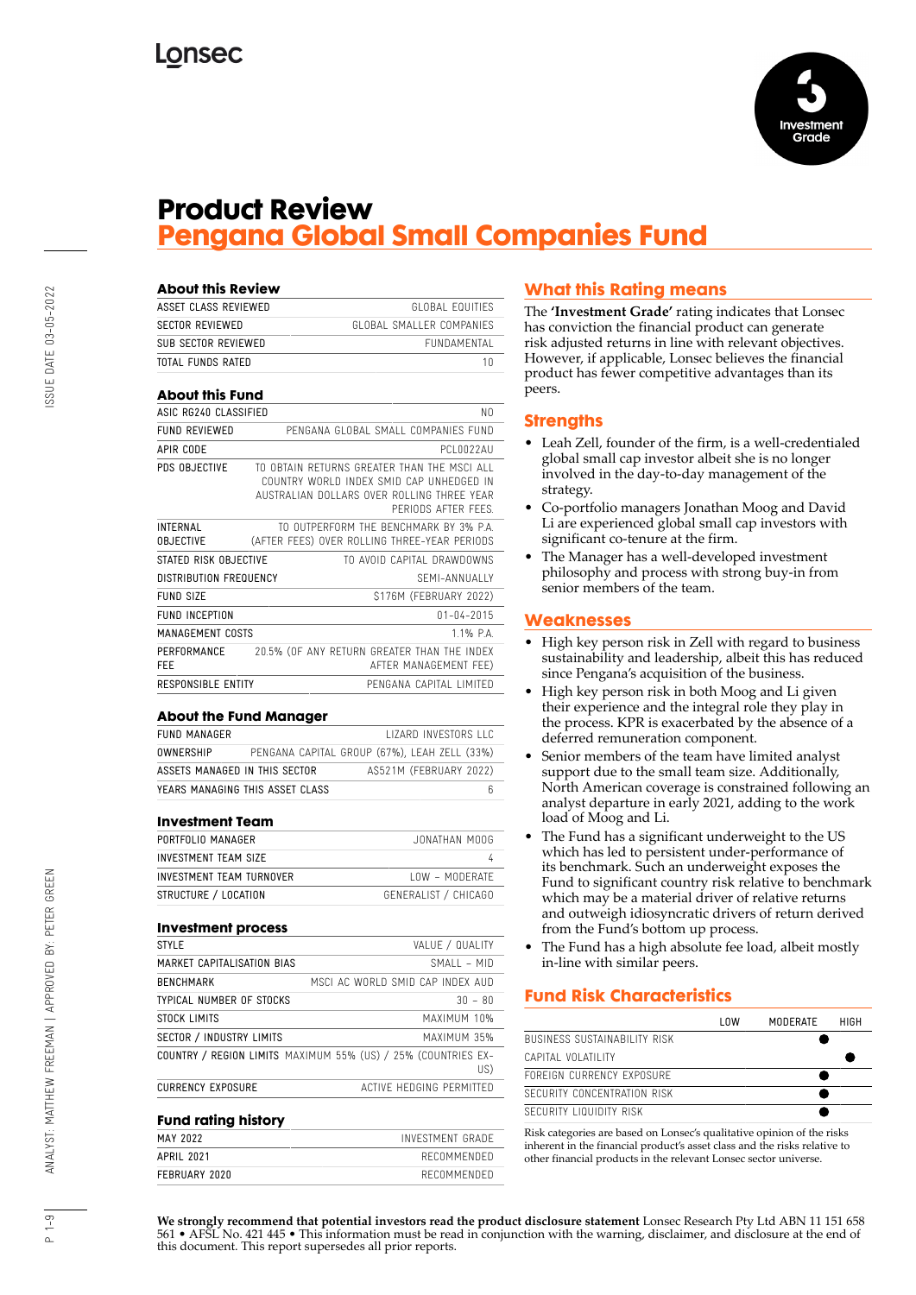

## **Product Review Pengana Global Small Companies Fund**

| <b>About this Review</b>            |                                                                                                                                                             |
|-------------------------------------|-------------------------------------------------------------------------------------------------------------------------------------------------------------|
| ASSET CLASS REVIEWED                | GLOBAL FOULTIES                                                                                                                                             |
| <b>SECTOR REVIEWED</b>              | GLOBAL SMALLER COMPANIES                                                                                                                                    |
| SUB SECTOR REVIEWED                 | FUNDAMENTAL                                                                                                                                                 |
| TOTAL FUNDS RATED                   | 10                                                                                                                                                          |
| <b>About this Fund</b>              |                                                                                                                                                             |
| ASIC RG240 CLASSIFIED               | NΩ                                                                                                                                                          |
| <b>FUND REVIEWED</b>                | PENGANA GLOBAL SMALL COMPANIES FUND                                                                                                                         |
| APIR CODE                           | PCI 0022AU                                                                                                                                                  |
| PDS OBJECTIVE                       | TO OBTAIN RETURNS GREATER THAN THE MSCLALL<br>COUNTRY WORLD INDEX SMID CAP UNHEDGED IN<br>AUSTRALIAN DOLLARS OVER ROLLING THREE YEAR<br>PERIODS AFTER FFFS. |
| <b>INTERNAL</b><br><b>OBJECTIVE</b> | TO OUTPERFORM THE RENCHMARK BY 3% PA<br>(AFTER FEES) OVER ROLLING THREE-YEAR PERIODS                                                                        |
| STATED RISK OBJECTIVE               | TO AVOID CAPITAL DRAWDOWNS                                                                                                                                  |
| <b>DISTRIBUTION FREQUENCY</b>       | SFMI-ANNUALLY                                                                                                                                               |
| FUND SIZE                           | \$176M (FEBRUARY 2022)                                                                                                                                      |
| <b>FUND INCEPTION</b>               | $01 - 04 - 2015$                                                                                                                                            |
| MANAGEMENT COSTS                    | $1.1\%$ P.A.                                                                                                                                                |
| PERFORMANCE<br>FFF                  | 20.5% (OF ANY RETURN GREATER THAN THE INDEX<br>AFTER MANAGEMENT FEE)                                                                                        |
| <b>RESPONSIBLE ENTITY</b>           | PENGANA CAPITAL LIMITED                                                                                                                                     |

#### **About the Fund Manager**

| FUND MANAGER                    |                                              |  |                        |  | <b>IIZARD INVESTORS LLC</b> |
|---------------------------------|----------------------------------------------|--|------------------------|--|-----------------------------|
| OWNERSHIP                       | PENGANA CAPITAL GROUP (67%), LEAH ZELL (33%) |  |                        |  |                             |
| ASSETS MANAGED IN THIS SECTOR   |                                              |  | AS521M (FEBRUARY 2022) |  |                             |
| YEARS MANAGING THIS ASSET CLASS |                                              |  |                        |  |                             |

#### **Investment Team**

| PORTFOLIO MANAGER        | JONATHAN MOOG        |
|--------------------------|----------------------|
| INVESTMENT TEAM SIZE     |                      |
| INVESTMENT TEAM TURNOVER | $10W - MODFRATF$     |
| STRUCTURE / LOCATION     | GENERALIST / CHICAGO |

#### **Investment process**

| <b>STYLE</b>                    | VALUE / QUALITY                                                      |
|---------------------------------|----------------------------------------------------------------------|
| MARKET CAPITALISATION BIAS      | $SMAIL - MID$                                                        |
| <b>BENCHMARK</b>                | MSCLAC WORLD SMID CAP INDEX AUD                                      |
| <b>TYPICAL NUMBER OF STOCKS</b> | $30 - 80$                                                            |
| STOCK LIMITS                    | MAXIMUM 10%                                                          |
| SECTOR / INDUSTRY LIMITS        | MAXIMUM 35%                                                          |
|                                 | COUNTRY / REGION LIMITS MAXIMUM 55% (US) / 25% (COUNTRIES EX-<br>US) |
| <b>CURRENCY EXPOSURE</b>        | ACTIVE HEDGING PERMITTED                                             |
|                                 |                                                                      |

#### **Fund rating history**

| MAY 2022      | INVESTMENT GRADE |
|---------------|------------------|
| APRIL 2021    | RECOMMENDED      |
| FEBRUARY 2020 | RECOMMENDED      |

### **What this Rating means**

The **'Investment Grade'** rating indicates that Lonsec has conviction the financial product can generate risk adjusted returns in line with relevant objectives. However, if applicable, Lonsec believes the financial product has fewer competitive advantages than its peers.

#### **Strengths**

- Leah Zell, founder of the firm, is a well-credentialed global small cap investor albeit she is no longer involved in the day-to-day management of the strategy.
- Co-portfolio managers Jonathan Moog and David Li are experienced global small cap investors with significant co-tenure at the firm.
- The Manager has a well-developed investment philosophy and process with strong buy-in from senior members of the team.

#### **Weaknesses**

- High key person risk in Zell with regard to business sustainability and leadership, albeit this has reduced since Pengana's acquisition of the business.
- High key person risk in both Moog and Li given their experience and the integral role they play in the process. KPR is exacerbated by the absence of a deferred remuneration component.
- Senior members of the team have limited analyst support due to the small team size. Additionally, North American coverage is constrained following an analyst departure in early 2021, adding to the work load of Moog and Li.
- The Fund has a significant underweight to the US which has led to persistent under-performance of its benchmark. Such an underweight exposes the Fund to significant country risk relative to benchmark which may be a material driver of relative returns and outweigh idiosyncratic drivers of return derived from the Fund's bottom up process.
- The Fund has a high absolute fee load, albeit mostly in-line with similar peers.

#### **Fund Risk Characteristics**

|                                     | l nw | MODERATE | HIGH |
|-------------------------------------|------|----------|------|
| <b>BUSINESS SUSTAINABILITY RISK</b> |      |          |      |
| CAPITAL VOLATILITY                  |      |          |      |
| FORFIGN CURRENCY EXPOSURE           |      |          |      |
| SECURITY CONCENTRATION RISK         |      |          |      |
| SECURITY LIQUIDITY RISK             |      |          |      |

Risk categories are based on Lonsec's qualitative opinion of the risks inherent in the financial product's asset class and the risks relative to other financial products in the relevant Lonsec sector universe.

 $\frac{9}{1}$ 

**We strongly recommend that potential investors read the product disclosure statement** Lonsec Research Pty Ltd ABN 11 151 658 561 • AFSL No. 421 445 • This information must be read in conjunction with the warning, disclaimer, and disclosure at the end of this document. This report supersedes all prior reports.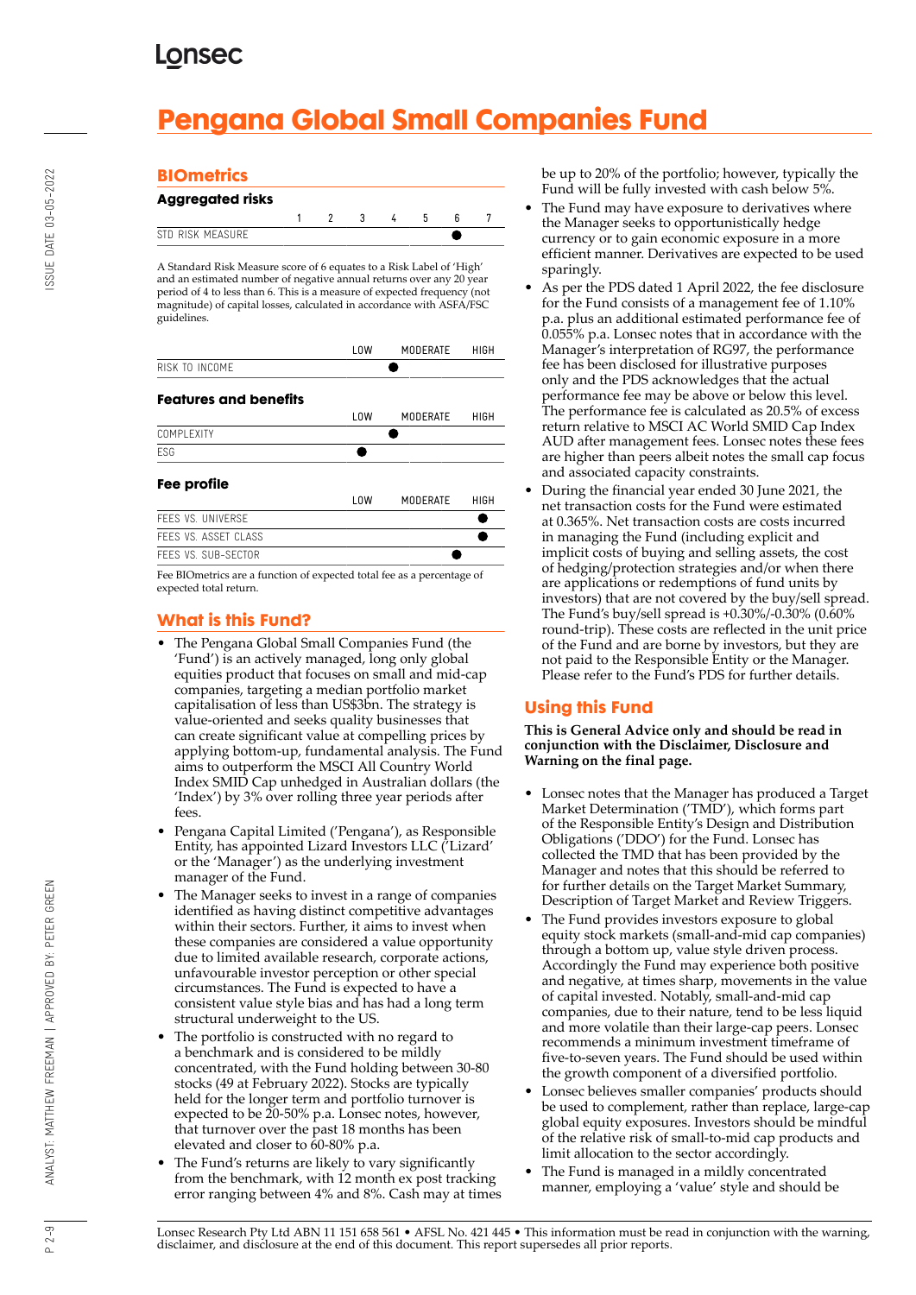# **Pengana Global Small Companies Fund**

### **BIOmetrics**

| <b>Aggregated risks</b> |  |              |     |  |
|-------------------------|--|--------------|-----|--|
|                         |  | $\mathbf{R}$ | - 5 |  |
| STD RISK MFASURF        |  |              |     |  |

A Standard Risk Measure score of 6 equates to a Risk Label of 'High' and an estimated number of negative annual returns over any 20 year period of 4 to less than 6. This is a measure of expected frequency (not magnitude) of capital losses, calculated in accordance with ASFA/FSC guidelines

|                              | L <sub>0</sub> W | <b>MODERATE</b> | <b>HIGH</b> |
|------------------------------|------------------|-----------------|-------------|
| RISK TO INCOME               |                  |                 |             |
| <b>Features and benefits</b> |                  |                 |             |
|                              | L <sub>0</sub> W | <b>MODERATE</b> | HIGH        |
| COMPLEXITY                   |                  |                 |             |
| <b>FSG</b>                   |                  |                 |             |
| Fee profile                  |                  |                 |             |
|                              | L <sub>0</sub> W | <b>MODERATE</b> | HIGH        |
| FFFS VS. UNIVERSE            |                  |                 |             |
| FFFS VS. ASSET CLASS         |                  |                 |             |
| FFFS VS. SUB-SECTOR          |                  |                 |             |

Fee BIOmetrics are a function of expected total fee as a percentage of expected total return.

### **What is this Fund?**

- The Pengana Global Small Companies Fund (the 'Fund') is an actively managed, long only global equities product that focuses on small and mid-cap companies, targeting a median portfolio market capitalisation of less than US\$3bn. The strategy is value-oriented and seeks quality businesses that can create significant value at compelling prices by applying bottom-up, fundamental analysis. The Fund aims to outperform the MSCI All Country World Index SMID Cap unhedged in Australian dollars (the 'Index') by 3% over rolling three year periods after fees.
- Pengana Capital Limited ('Pengana'), as Responsible Entity, has appointed Lizard Investors LLC ('Lizard' or the 'Manager') as the underlying investment manager of the Fund.
- The Manager seeks to invest in a range of companies identified as having distinct competitive advantages within their sectors. Further, it aims to invest when these companies are considered a value opportunity due to limited available research, corporate actions, unfavourable investor perception or other special circumstances. The Fund is expected to have a consistent value style bias and has had a long term structural underweight to the US.
- The portfolio is constructed with no regard to a benchmark and is considered to be mildly concentrated, with the Fund holding between 30-80 stocks (49 at February 2022). Stocks are typically held for the longer term and portfolio turnover is expected to be 20-50% p.a. Lonsec notes, however, that turnover over the past 18 months has been elevated and closer to 60-80% p.a.
- The Fund's returns are likely to vary significantly from the benchmark, with 12 month ex post tracking error ranging between 4% and 8%. Cash may at times

be up to 20% of the portfolio; however, typically the Fund will be fully invested with cash below 5%.

- The Fund may have exposure to derivatives where the Manager seeks to opportunistically hedge currency or to gain economic exposure in a more efficient manner. Derivatives are expected to be used sparingly.
- As per the PDS dated 1 April 2022, the fee disclosure for the Fund consists of a management fee of 1.10% p.a. plus an additional estimated performance fee of 0.055% p.a. Lonsec notes that in accordance with the Manager's interpretation of RG97, the performance fee has been disclosed for illustrative purposes only and the PDS acknowledges that the actual performance fee may be above or below this level. The performance fee is calculated as 20.5% of excess return relative to MSCI AC World SMID Cap Index AUD after management fees. Lonsec notes these fees are higher than peers albeit notes the small cap focus and associated capacity constraints.
- During the financial year ended 30 June 2021, the net transaction costs for the Fund were estimated at 0.365%. Net transaction costs are costs incurred in managing the Fund (including explicit and implicit costs of buying and selling assets, the cost of hedging/protection strategies and/or when there are applications or redemptions of fund units by investors) that are not covered by the buy/sell spread. The Fund's buy/sell spread is +0.30%/-0.30% (0.60% round-trip). These costs are reflected in the unit price of the Fund and are borne by investors, but they are not paid to the Responsible Entity or the Manager. Please refer to the Fund's PDS for further details.

### **Using this Fund**

**This is General Advice only and should be read in conjunction with the Disclaimer, Disclosure and Warning on the final page.**

- Lonsec notes that the Manager has produced a Target Market Determination ('TMD'), which forms part of the Responsible Entity's Design and Distribution Obligations ('DDO') for the Fund. Lonsec has collected the TMD that has been provided by the Manager and notes that this should be referred to for further details on the Target Market Summary, Description of Target Market and Review Triggers.
- The Fund provides investors exposure to global equity stock markets (small-and-mid cap companies) through a bottom up, value style driven process. Accordingly the Fund may experience both positive and negative, at times sharp, movements in the value of capital invested. Notably, small-and-mid cap companies, due to their nature, tend to be less liquid and more volatile than their large-cap peers. Lonsec recommends a minimum investment timeframe of five-to-seven years. The Fund should be used within the growth component of a diversified portfolio.
- Lonsec believes smaller companies' products should be used to complement, rather than replace, large-cap global equity exposures. Investors should be mindful of the relative risk of small-to-mid cap products and limit allocation to the sector accordingly.
- The Fund is managed in a mildly concentrated manner, employing a 'value' style and should be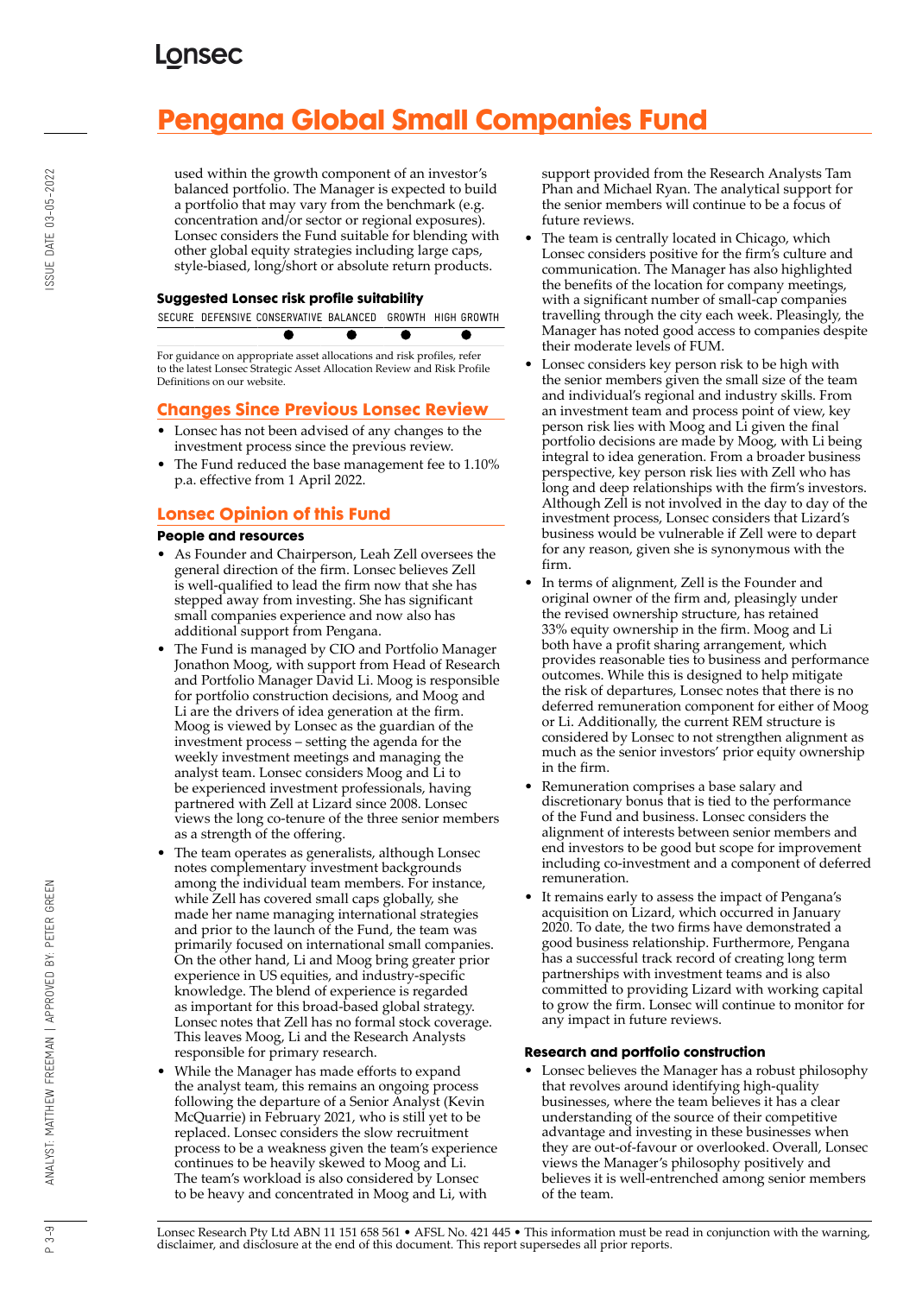# **Pengana Global Small Companies Fund**

used within the growth component of an investor's balanced portfolio. The Manager is expected to build a portfolio that may vary from the benchmark (e.g. concentration and/or sector or regional exposures). Lonsec considers the Fund suitable for blending with other global equity strategies including large caps, style-biased, long/short or absolute return products.

#### **Suggested Lonsec risk profile suitability**

|  |  | SECURE DEFENSIVE CONSERVATIVE BALANCED. GROWTH HIGH GROWTH |
|--|--|------------------------------------------------------------|
|  |  |                                                            |

For guidance on appropriate asset allocations and risk profiles, refer to the latest Lonsec Strategic Asset Allocation Review and Risk Profile Definitions on our website.

### **Changes Since Previous Lonsec Review**

- Lonsec has not been advised of any changes to the investment process since the previous review.
- The Fund reduced the base management fee to 1.10% p.a. effective from 1 April 2022.

### **Lonsec Opinion of this Fund**

#### **People and resources**

- As Founder and Chairperson, Leah Zell oversees the general direction of the firm. Lonsec believes Zell is well-qualified to lead the firm now that she has stepped away from investing. She has significant small companies experience and now also has additional support from Pengana.
- The Fund is managed by CIO and Portfolio Manager Jonathon Moog, with support from Head of Research and Portfolio Manager David Li. Moog is responsible for portfolio construction decisions, and Moog and Li are the drivers of idea generation at the firm. Moog is viewed by Lonsec as the guardian of the investment process – setting the agenda for the weekly investment meetings and managing the analyst team. Lonsec considers Moog and Li to be experienced investment professionals, having partnered with Zell at Lizard since 2008. Lonsec views the long co-tenure of the three senior members as a strength of the offering.
- The team operates as generalists, although Lonsec notes complementary investment backgrounds among the individual team members. For instance, while Zell has covered small caps globally, she made her name managing international strategies and prior to the launch of the Fund, the team was primarily focused on international small companies. On the other hand, Li and Moog bring greater prior experience in US equities, and industry-specific knowledge. The blend of experience is regarded as important for this broad-based global strategy. Lonsec notes that Zell has no formal stock coverage. This leaves Moog, Li and the Research Analysts responsible for primary research.
- While the Manager has made efforts to expand the analyst team, this remains an ongoing process following the departure of a Senior Analyst (Kevin McQuarrie) in February 2021, who is still yet to be replaced. Lonsec considers the slow recruitment process to be a weakness given the team's experience continues to be heavily skewed to Moog and Li. The team's workload is also considered by Lonsec to be heavy and concentrated in Moog and Li, with

support provided from the Research Analysts Tam Phan and Michael Ryan. The analytical support for the senior members will continue to be a focus of future reviews.

- The team is centrally located in Chicago, which Lonsec considers positive for the firm's culture and communication. The Manager has also highlighted the benefits of the location for company meetings, with a significant number of small-cap companies travelling through the city each week. Pleasingly, the Manager has noted good access to companies despite their moderate levels of FUM.
- Lonsec considers key person risk to be high with the senior members given the small size of the team and individual's regional and industry skills. From an investment team and process point of view, key person risk lies with Moog and Li given the final portfolio decisions are made by Moog, with Li being integral to idea generation. From a broader business perspective, key person risk lies with Zell who has long and deep relationships with the firm's investors. Although Zell is not involved in the day to day of the investment process, Lonsec considers that Lizard's business would be vulnerable if Zell were to depart for any reason, given she is synonymous with the firm.
- In terms of alignment, Zell is the Founder and original owner of the firm and, pleasingly under the revised ownership structure, has retained 33% equity ownership in the firm. Moog and Li both have a profit sharing arrangement, which provides reasonable ties to business and performance outcomes. While this is designed to help mitigate the risk of departures, Lonsec notes that there is no deferred remuneration component for either of Moog or Li. Additionally, the current REM structure is considered by Lonsec to not strengthen alignment as much as the senior investors' prior equity ownership in the firm.
- Remuneration comprises a base salary and discretionary bonus that is tied to the performance of the Fund and business. Lonsec considers the alignment of interests between senior members and end investors to be good but scope for improvement including co-investment and a component of deferred remuneration.
- It remains early to assess the impact of Pengana's acquisition on Lizard, which occurred in January 2020. To date, the two firms have demonstrated a good business relationship. Furthermore, Pengana has a successful track record of creating long term partnerships with investment teams and is also committed to providing Lizard with working capital to grow the firm. Lonsec will continue to monitor for any impact in future reviews.

#### **Research and portfolio construction**

• Lonsec believes the Manager has a robust philosophy that revolves around identifying high-quality businesses, where the team believes it has a clear understanding of the source of their competitive advantage and investing in these businesses when they are out-of-favour or overlooked. Overall, Lonsec views the Manager's philosophy positively and believes it is well-entrenched among senior members of the team.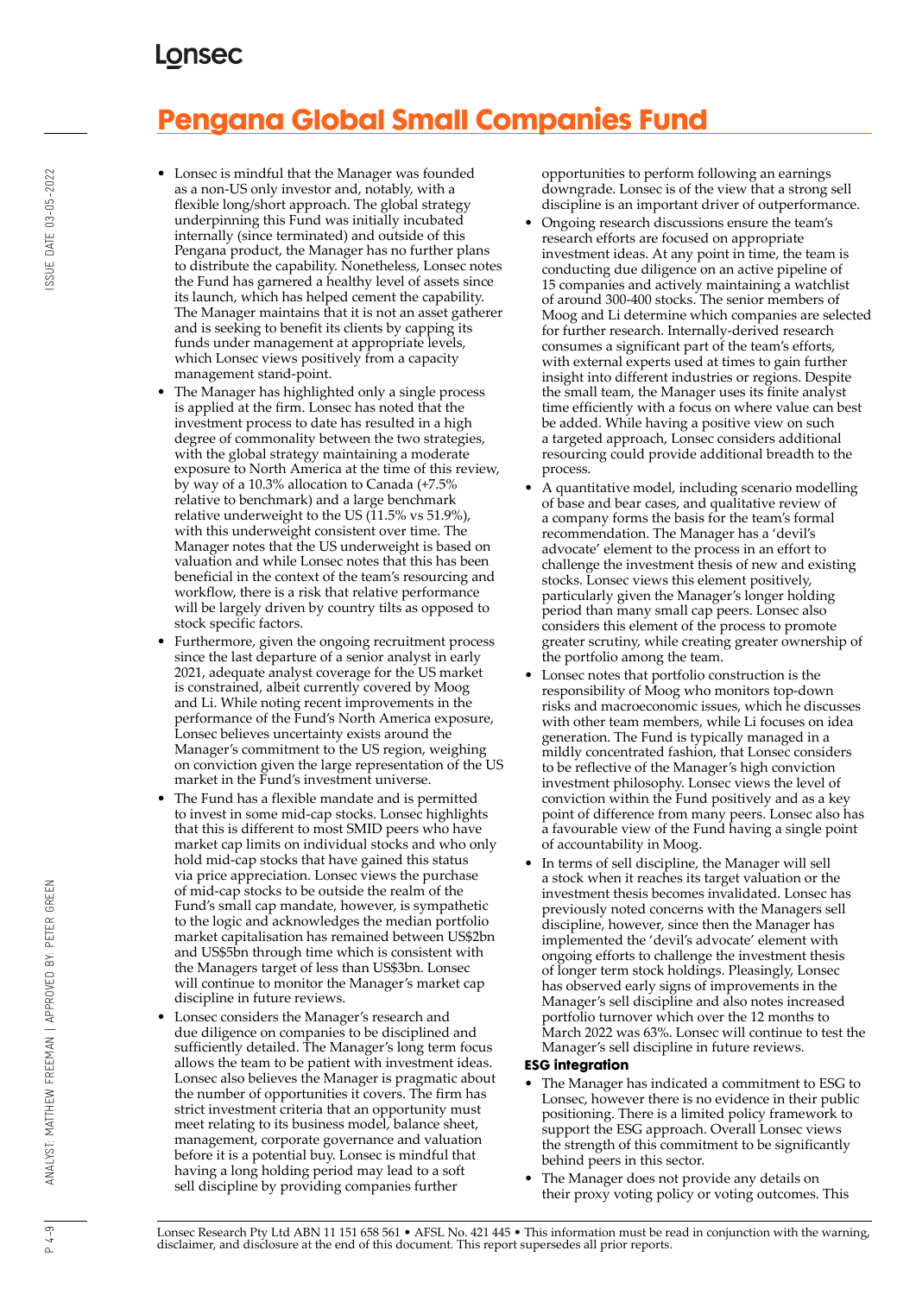# **Pengana Global Small Companies Fund**

- Lonsec is mindful that the Manager was founded as a non-US only investor and, notably, with a flexible long/short approach. The global strategy underpinning this Fund was initially incubated internally (since terminated) and outside of this Pengana product, the Manager has no further plans to distribute the capability. Nonetheless, Lonsec notes the Fund has garnered a healthy level of assets since its launch, which has helped cement the capability. The Manager maintains that it is not an asset gatherer and is seeking to benefit its clients by capping its funds under management at appropriate levels, which Lonsec views positively from a capacity management stand-point.
- The Manager has highlighted only a single process is applied at the firm. Lonsec has noted that the investment process to date has resulted in a high degree of commonality between the two strategies, with the global strategy maintaining a moderate exposure to North America at the time of this review, by way of a 10.3% allocation to Canada (+7.5% relative to benchmark) and a large benchmark relative underweight to the US  $(11.5\% \text{ vs } 51.9\%),$ with this underweight consistent over time. The Manager notes that the US underweight is based on valuation and while Lonsec notes that this has been beneficial in the context of the team's resourcing and workflow, there is a risk that relative performance will be largely driven by country tilts as opposed to stock specific factors.
- Furthermore, given the ongoing recruitment process since the last departure of a senior analyst in early 2021, adequate analyst coverage for the US market is constrained, albeit currently covered by Moog and Li. While noting recent improvements in the performance of the Fund's North America exposure, Lonsec believes uncertainty exists around the Manager's commitment to the US region, weighing on conviction given the large representation of the US market in the Fund's investment universe.
- The Fund has a flexible mandate and is permitted to invest in some mid-cap stocks. Lonsec highlights that this is different to most SMID peers who have market cap limits on individual stocks and who only hold mid-cap stocks that have gained this status via price appreciation. Lonsec views the purchase of mid-cap stocks to be outside the realm of the Fund's small cap mandate, however, is sympathetic to the logic and acknowledges the median portfolio market capitalisation has remained between US\$2bn and US\$5bn through time which is consistent with the Managers target of less than US\$3bn. Lonsec will continue to monitor the Manager's market cap discipline in future reviews.
- Lonsec considers the Manager's research and due diligence on companies to be disciplined and sufficiently detailed. The Manager's long term focus allows the team to be patient with investment ideas. Lonsec also believes the Manager is pragmatic about the number of opportunities it covers. The firm has strict investment criteria that an opportunity must meet relating to its business model, balance sheet, management, corporate governance and valuation before it is a potential buy. Lonsec is mindful that having a long holding period may lead to a soft sell discipline by providing companies further

opportunities to perform following an earnings downgrade. Lonsec is of the view that a strong sell discipline is an important driver of outperformance.

- Ongoing research discussions ensure the team's research efforts are focused on appropriate investment ideas. At any point in time, the team is conducting due diligence on an active pipeline of 15 companies and actively maintaining a watchlist of around 300-400 stocks. The senior members of Moog and Li determine which companies are selected for further research. Internally-derived research consumes a significant part of the team's efforts, with external experts used at times to gain further insight into different industries or regions. Despite the small team, the Manager uses its finite analyst time efficiently with a focus on where value can best be added. While having a positive view on such a targeted approach, Lonsec considers additional resourcing could provide additional breadth to the process.
- A quantitative model, including scenario modelling of base and bear cases, and qualitative review of a company forms the basis for the team's formal recommendation. The Manager has a 'devil's advocate' element to the process in an effort to challenge the investment thesis of new and existing stocks. Lonsec views this element positively, particularly given the Manager's longer holding period than many small cap peers. Lonsec also considers this element of the process to promote greater scrutiny, while creating greater ownership of the portfolio among the team.
- Lonsec notes that portfolio construction is the responsibility of Moog who monitors top-down risks and macroeconomic issues, which he discusses with other team members, while Li focuses on idea generation. The Fund is typically managed in a mildly concentrated fashion, that Lonsec considers to be reflective of the Manager's high conviction investment philosophy. Lonsec views the level of conviction within the Fund positively and as a key point of difference from many peers. Lonsec also has a favourable view of the Fund having a single point of accountability in Moog.
- In terms of sell discipline, the Manager will sell a stock when it reaches its target valuation or the investment thesis becomes invalidated. Lonsec has previously noted concerns with the Managers sell discipline, however, since then the Manager has implemented the 'devil's advocate' element with ongoing efforts to challenge the investment thesis of longer term stock holdings. Pleasingly, Lonsec has observed early signs of improvements in the Manager's sell discipline and also notes increased portfolio turnover which over the 12 months to March 2022 was 63%. Lonsec will continue to test the Manager's sell discipline in future reviews.

#### **ESG integration**

- The Manager has indicated a commitment to ESG to Lonsec, however there is no evidence in their public positioning. There is a limited policy framework to support the ESG approach. Overall Lonsec views the strength of this commitment to be significantly behind peers in this sector.
- The Manager does not provide any details on their proxy voting policy or voting outcomes. This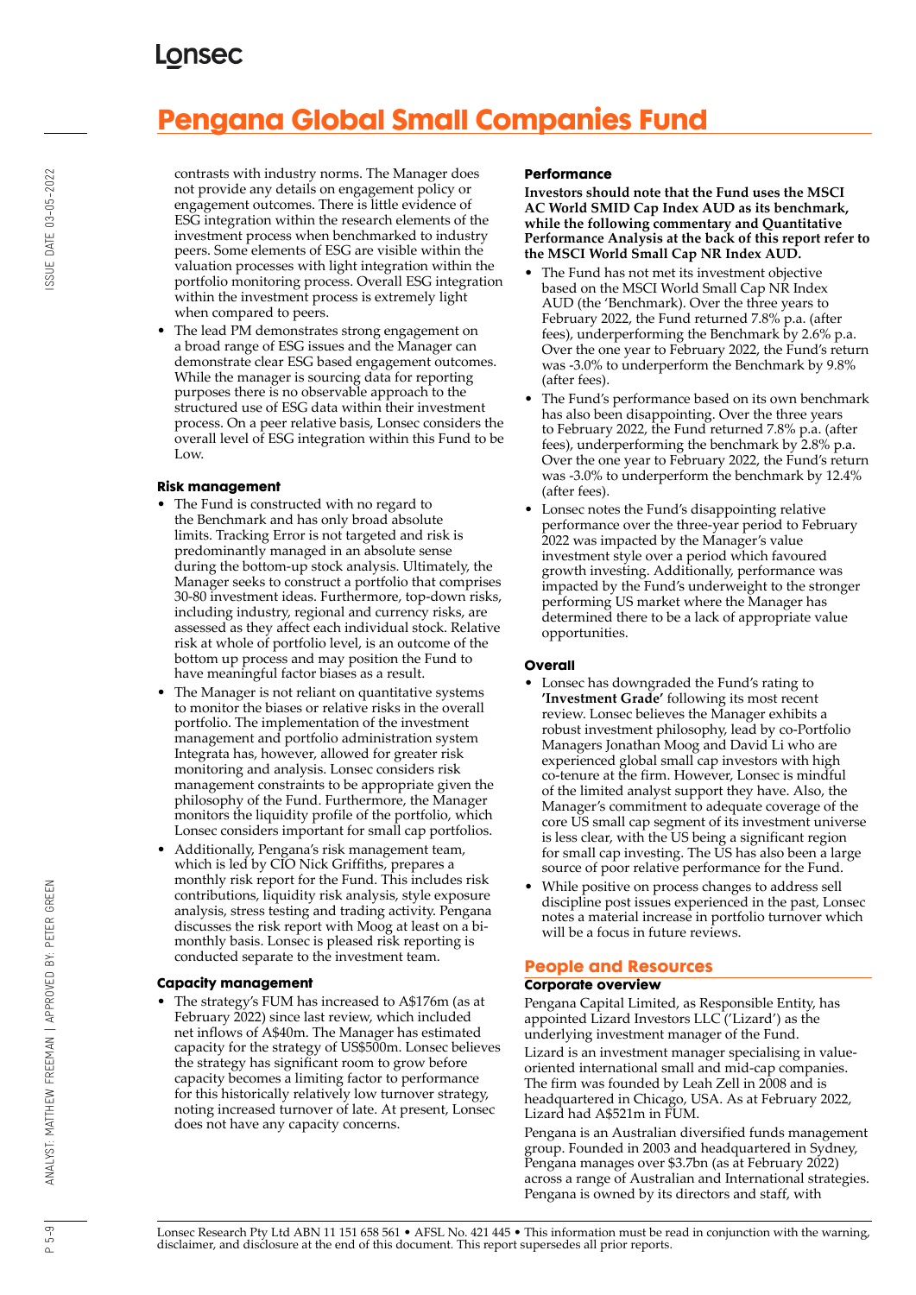# **Pengana Global Small Companies Fund**

contrasts with industry norms. The Manager does not provide any details on engagement policy or engagement outcomes. There is little evidence of ESG integration within the research elements of the investment process when benchmarked to industry peers. Some elements of ESG are visible within the valuation processes with light integration within the portfolio monitoring process. Overall ESG integration within the investment process is extremely light when compared to peers.

• The lead PM demonstrates strong engagement on a broad range of ESG issues and the Manager can demonstrate clear ESG based engagement outcomes. While the manager is sourcing data for reporting purposes there is no observable approach to the structured use of ESG data within their investment process. On a peer relative basis, Lonsec considers the overall level of ESG integration within this Fund to be Low.

#### **Risk management**

- The Fund is constructed with no regard to the Benchmark and has only broad absolute limits. Tracking Error is not targeted and risk is predominantly managed in an absolute sense during the bottom-up stock analysis. Ultimately, the Manager seeks to construct a portfolio that comprises 30-80 investment ideas. Furthermore, top-down risks, including industry, regional and currency risks, are assessed as they affect each individual stock. Relative risk at whole of portfolio level, is an outcome of the bottom up process and may position the Fund to have meaningful factor biases as a result.
- The Manager is not reliant on quantitative systems to monitor the biases or relative risks in the overall portfolio. The implementation of the investment management and portfolio administration system Integrata has, however, allowed for greater risk monitoring and analysis. Lonsec considers risk management constraints to be appropriate given the philosophy of the Fund. Furthermore, the Manager monitors the liquidity profile of the portfolio, which Lonsec considers important for small cap portfolios.
- Additionally, Pengana's risk management team, which is led by CIO Nick Griffiths, prepares a monthly risk report for the Fund. This includes risk contributions, liquidity risk analysis, style exposure analysis, stress testing and trading activity. Pengana discusses the risk report with Moog at least on a bimonthly basis. Lonsec is pleased risk reporting is conducted separate to the investment team.

#### **Capacity management**

• The strategy's FUM has increased to A\$176m (as at February 2022) since last review, which included net inflows of A\$40m. The Manager has estimated capacity for the strategy of US\$500m. Lonsec believes the strategy has significant room to grow before capacity becomes a limiting factor to performance for this historically relatively low turnover strategy, noting increased turnover of late. At present, Lonsec does not have any capacity concerns.

#### **Performance**

**Investors should note that the Fund uses the MSCI AC World SMID Cap Index AUD as its benchmark, while the following commentary and Quantitative Performance Analysis at the back of this report refer to the MSCI World Small Cap NR Index AUD.**

- The Fund has not met its investment objective based on the MSCI World Small Cap NR Index AUD (the 'Benchmark). Over the three years to February 2022, the Fund returned 7.8% p.a. (after fees), underperforming the Benchmark by 2.6% p.a. Over the one year to February 2022, the Fund's return was -3.0% to underperform the Benchmark by 9.8% (after fees).
- The Fund's performance based on its own benchmark has also been disappointing. Over the three years to February 2022, the Fund returned 7.8% p.a. (after fees), underperforming the benchmark by 2.8% p.a. Over the one year to February 2022, the Fund's return was -3.0% to underperform the benchmark by 12.4% (after fees).
- Lonsec notes the Fund's disappointing relative performance over the three-year period to February 2022 was impacted by the Manager's value investment style over a period which favoured growth investing. Additionally, performance was impacted by the Fund's underweight to the stronger performing US market where the Manager has determined there to be a lack of appropriate value opportunities.

#### **Overall**

- Lonsec has downgraded the Fund's rating to **'Investment Grade'** following its most recent review. Lonsec believes the Manager exhibits a robust investment philosophy, lead by co-Portfolio Managers Jonathan Moog and David Li who are experienced global small cap investors with high co-tenure at the firm. However, Lonsec is mindful of the limited analyst support they have. Also, the Manager's commitment to adequate coverage of the core US small cap segment of its investment universe is less clear, with the US being a significant region for small cap investing. The US has also been a large source of poor relative performance for the Fund.
- While positive on process changes to address sell discipline post issues experienced in the past, Lonsec notes a material increase in portfolio turnover which will be a focus in future reviews.

#### **People and Resources**

#### **Corporate overview**

Pengana Capital Limited, as Responsible Entity, has appointed Lizard Investors LLC ('Lizard') as the underlying investment manager of the Fund.

Lizard is an investment manager specialising in valueoriented international small and mid-cap companies. The firm was founded by Leah Zell in 2008 and is headquartered in Chicago, USA. As at February 2022, Lizard had A\$521m in FUM.

Pengana is an Australian diversified funds management group. Founded in 2003 and headquartered in Sydney, Pengana manages over \$3.7bn (as at February 2022) across a range of Australian and International strategies. Pengana is owned by its directors and staff, with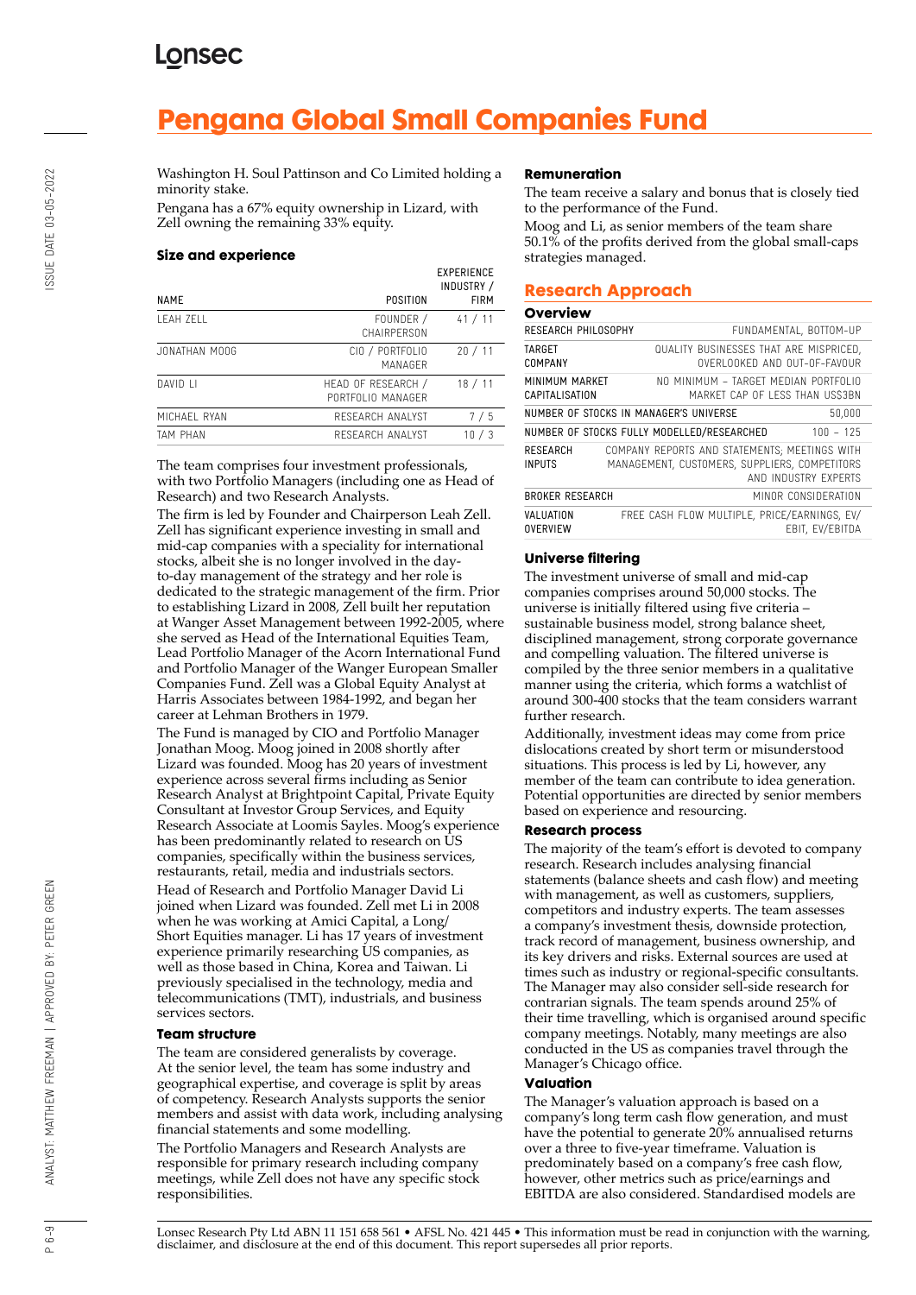# **Pengana Global Small Companies Fund**

Washington H. Soul Pattinson and Co Limited holding a minority stake.

Pengana has a 67% equity ownership in Lizard, with Zell owning the remaining 33% equity.

#### **Size and experience**

| <b>NAME</b>   | POSITION                                | <b>EXPERIENCE</b><br>INDUSTRY /<br><b>FIRM</b> |
|---------------|-----------------------------------------|------------------------------------------------|
| I FAH 7FI I   | FOUNDER /<br>CHAIRPFRSON                | 41 / 11                                        |
| JONATHAN MOOG | CIO / PORTFOLIO<br>MANAGER              | 20/11                                          |
| DAVID I I     | HEAD OF RESEARCH /<br>PORTEOLIO MANAGER | 18 / 11                                        |
| MICHAEL RYAN  | RESEARCH ANALYST                        | 7/5                                            |
| TAM PHAN      | RESEARCH ANALYST                        | 10/3                                           |

The team comprises four investment professionals, with two Portfolio Managers (including one as Head of Research) and two Research Analysts.

The firm is led by Founder and Chairperson Leah Zell. Zell has significant experience investing in small and mid-cap companies with a speciality for international stocks, albeit she is no longer involved in the dayto-day management of the strategy and her role is dedicated to the strategic management of the firm. Prior to establishing Lizard in 2008, Zell built her reputation at Wanger Asset Management between 1992-2005, where she served as Head of the International Equities Team, Lead Portfolio Manager of the Acorn International Fund and Portfolio Manager of the Wanger European Smaller Companies Fund. Zell was a Global Equity Analyst at Harris Associates between 1984-1992, and began her career at Lehman Brothers in 1979.

The Fund is managed by CIO and Portfolio Manager Jonathan Moog. Moog joined in 2008 shortly after Lizard was founded. Moog has 20 years of investment experience across several firms including as Senior Research Analyst at Brightpoint Capital, Private Equity Consultant at Investor Group Services, and Equity Research Associate at Loomis Sayles. Moog's experience has been predominantly related to research on  $\overline{U}S$ companies, specifically within the business services, restaurants, retail, media and industrials sectors.

Head of Research and Portfolio Manager David Li joined when Lizard was founded. Zell met Li in 2008 when he was working at Amici Capital, a Long/ Short Equities manager. Li has 17 years of investment experience primarily researching US companies, as well as those based in China, Korea and Taiwan. Li previously specialised in the technology, media and telecommunications (TMT), industrials, and business services sectors.

#### **Team structure**

The team are considered generalists by coverage. At the senior level, the team has some industry and geographical expertise, and coverage is split by areas of competency. Research Analysts supports the senior members and assist with data work, including analysing financial statements and some modelling.

The Portfolio Managers and Research Analysts are responsible for primary research including company meetings, while Zell does not have any specific stock responsibilities.

#### **Remuneration**

The team receive a salary and bonus that is closely tied to the performance of the Fund.

Moog and Li, as senior members of the team share 50.1% of the profits derived from the global small-caps strategies managed.

#### **Research Approach**

| <b>Overview</b>                  |                                                                                                |                        |
|----------------------------------|------------------------------------------------------------------------------------------------|------------------------|
| RESEARCH PHILOSOPHY              |                                                                                                | FUNDAMENTAL, BOTTOM-UP |
| TARGET<br>COMPANY                | QUALITY BUSINESSES THAT ARE MISPRICED,<br>OVERLOOKED AND OUT-OF-FAVOUR                         |                        |
| MINIMUM MARKET<br>CAPITALISATION | NO MINIMUM - TARGET MEDIAN PORTEOLIO<br>MARKET CAP OF LESS THAN US\$3BN                        |                        |
|                                  | NUMBER OF STOCKS IN MANAGER'S UNIVERSE                                                         | 50,000                 |
|                                  | NUMBER OF STOCKS FULLY MODELLED/RESEARCHED                                                     | $100 - 125$            |
| <b>RESEARCH</b><br><b>INPUTS</b> | COMPANY REPORTS AND STATEMENTS; MEETINGS WITH<br>MANAGEMENT, CUSTOMERS, SUPPLIERS, COMPETITORS | AND INDUSTRY EXPERTS   |
| <b>BROKER RESEARCH</b>           |                                                                                                | MINOR CONSIDERATION    |
| VALUATION<br><b>OVERVIEW</b>     | FREE CASH FLOW MULTIPLE, PRICE/EARNINGS, EV/                                                   | EBIT, EV/EBITDA        |

#### **Universe filtering**

The investment universe of small and mid-cap companies comprises around 50,000 stocks. The universe is initially filtered using five criteria – sustainable business model, strong balance sheet, disciplined management, strong corporate governance and compelling valuation. The filtered universe is compiled by the three senior members in a qualitative manner using the criteria, which forms a watchlist of around 300-400 stocks that the team considers warrant further research.

Additionally, investment ideas may come from price dislocations created by short term or misunderstood situations. This process is led by Li, however, any member of the team can contribute to idea generation. Potential opportunities are directed by senior members based on experience and resourcing.

#### **Research process**

The majority of the team's effort is devoted to company research. Research includes analysing financial statements (balance sheets and cash flow) and meeting with management, as well as customers, suppliers, competitors and industry experts. The team assesses a company's investment thesis, downside protection, track record of management, business ownership, and its key drivers and risks. External sources are used at times such as industry or regional-specific consultants. The Manager may also consider sell-side research for contrarian signals. The team spends around 25% of their time travelling, which is organised around specific company meetings. Notably, many meetings are also conducted in the US as companies travel through the Manager's Chicago office.

#### **Valuation**

The Manager's valuation approach is based on a company's long term cash flow generation, and must have the potential to generate 20% annualised returns over a three to five-year timeframe. Valuation is predominately based on a company's free cash flow, however, other metrics such as price/earnings and EBITDA are also considered. Standardised models are

ANALYST: MATTHEW FREEMAN | APPROVED BY: PETER GREEN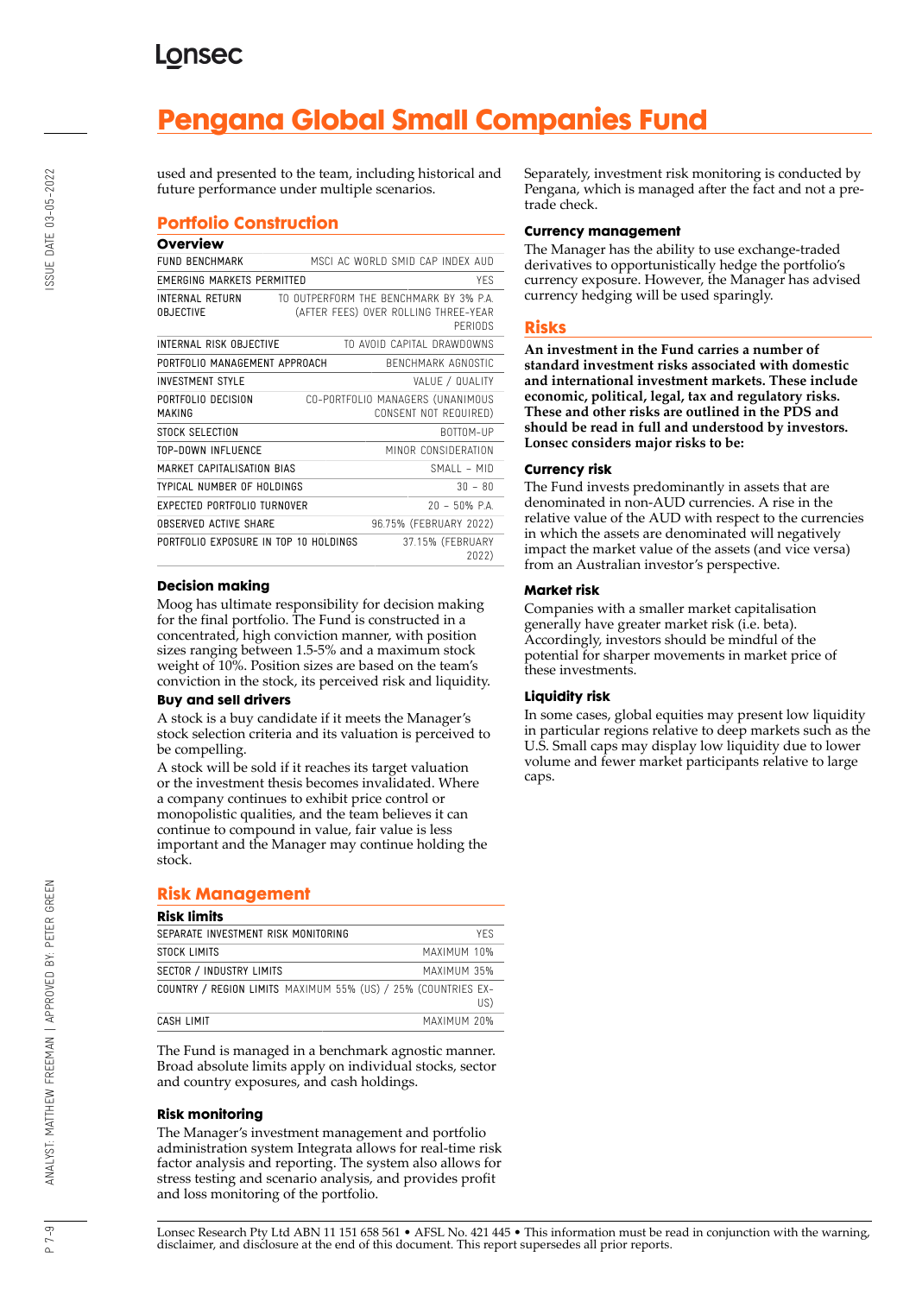## **LONSEC**

# **Pengana Global Small Companies Fund**

used and presented to the team, including historical and future performance under multiple scenarios.

### **Portfolio Construction**

#### **Overview**

| <b>FUND BENCHMARK</b>                 | MSCI AC WORLD SMID CAP INDEX AUD                                                          |
|---------------------------------------|-------------------------------------------------------------------------------------------|
| <b>EMERGING MARKETS PERMITTED</b>     | YFS                                                                                       |
| INTERNAL RETURN<br><b>OBJECTIVE</b>   | TO OUTPFRFORM THE BENCHMARK BY 3% P.A.<br>(AFTER FEES) OVER ROLLING THREE-YEAR<br>PERIODS |
| INTERNAL RISK OBJECTIVE               | TO AVOID CAPITAL DRAWDOWNS                                                                |
| PORTFOLIO MANAGEMENT APPROACH         | BENCHMARK AGNOSTIC                                                                        |
| <b>INVESTMENT STYLE</b>               | VALUE / QUALITY                                                                           |
| PORTFOLIO DECISION<br>MAKING          | CO-PORTFOLIO MANAGERS (UNANIMOUS<br>CONSENT NOT REQUIRED)                                 |
| STOCK SELECTION                       | BOTTOM-UP                                                                                 |
| TOP-DOWN INFLUENCE                    | MINOR CONSIDERATION                                                                       |
| MARKET CAPITALISATION BIAS            | SMAII – MID                                                                               |
| TYPICAL NUMBER OF HOLDINGS            | $30 - 80$                                                                                 |
| EXPECTED PORTFOLIO TURNOVER           | $20 - 50\%$ P.A.                                                                          |
| OBSERVED ACTIVE SHARE                 | 96.75% (FEBRUARY 2022)                                                                    |
| PORTFOLIO EXPOSURE IN TOP 10 HOLDINGS | 37.15% (FEBRUARY<br>2022)                                                                 |

#### **Decision making**

Moog has ultimate responsibility for decision making for the final portfolio. The Fund is constructed in a concentrated, high conviction manner, with position sizes ranging between 1.5-5% and a maximum stock weight of 10%. Position sizes are based on the team's conviction in the stock, its perceived risk and liquidity.

#### **Buy and sell drivers**

A stock is a buy candidate if it meets the Manager's stock selection criteria and its valuation is perceived to be compelling.

A stock will be sold if it reaches its target valuation or the investment thesis becomes invalidated. Where a company continues to exhibit price control or monopolistic qualities, and the team believes it can continue to compound in value, fair value is less important and the Manager may continue holding the stock.

#### **Risk Management**

| <b>Risk limits</b>                                            |             |
|---------------------------------------------------------------|-------------|
| SEPARATE INVESTMENT RISK MONITORING                           | <b>YFS</b>  |
| STOCK LIMITS                                                  | MAXIMUM 10% |
| <b>SECTOR / INDUSTRY LIMITS</b>                               | MAXIMUM 35% |
| COUNTRY / REGION LIMITS MAXIMUM 55% (US) / 25% (COUNTRIES EX- | US)         |
| CASH LIMIT                                                    | MAXIMUM 20% |

The Fund is managed in a benchmark agnostic manner. Broad absolute limits apply on individual stocks, sector and country exposures, and cash holdings.

#### **Risk monitoring**

The Manager's investment management and portfolio administration system Integrata allows for real-time risk factor analysis and reporting. The system also allows for stress testing and scenario analysis, and provides profit and loss monitoring of the portfolio.

Separately, investment risk monitoring is conducted by Pengana, which is managed after the fact and not a pretrade check.

#### **Currency management**

The Manager has the ability to use exchange-traded derivatives to opportunistically hedge the portfolio's currency exposure. However, the Manager has advised currency hedging will be used sparingly.

#### **Risks**

**An investment in the Fund carries a number of standard investment risks associated with domestic and international investment markets. These include economic, political, legal, tax and regulatory risks. These and other risks are outlined in the PDS and should be read in full and understood by investors. Lonsec considers major risks to be:**

#### **Currency risk**

The Fund invests predominantly in assets that are denominated in non-AUD currencies. A rise in the relative value of the AUD with respect to the currencies in which the assets are denominated will negatively impact the market value of the assets (and vice versa) from an Australian investor's perspective.

#### **Market risk**

Companies with a smaller market capitalisation generally have greater market risk (i.e. beta). Accordingly, investors should be mindful of the potential for sharper movements in market price of these investments.

#### **Liquidity risk**

In some cases, global equities may present low liquidity in particular regions relative to deep markets such as the U.S. Small caps may display low liquidity due to lower volume and fewer market participants relative to large caps.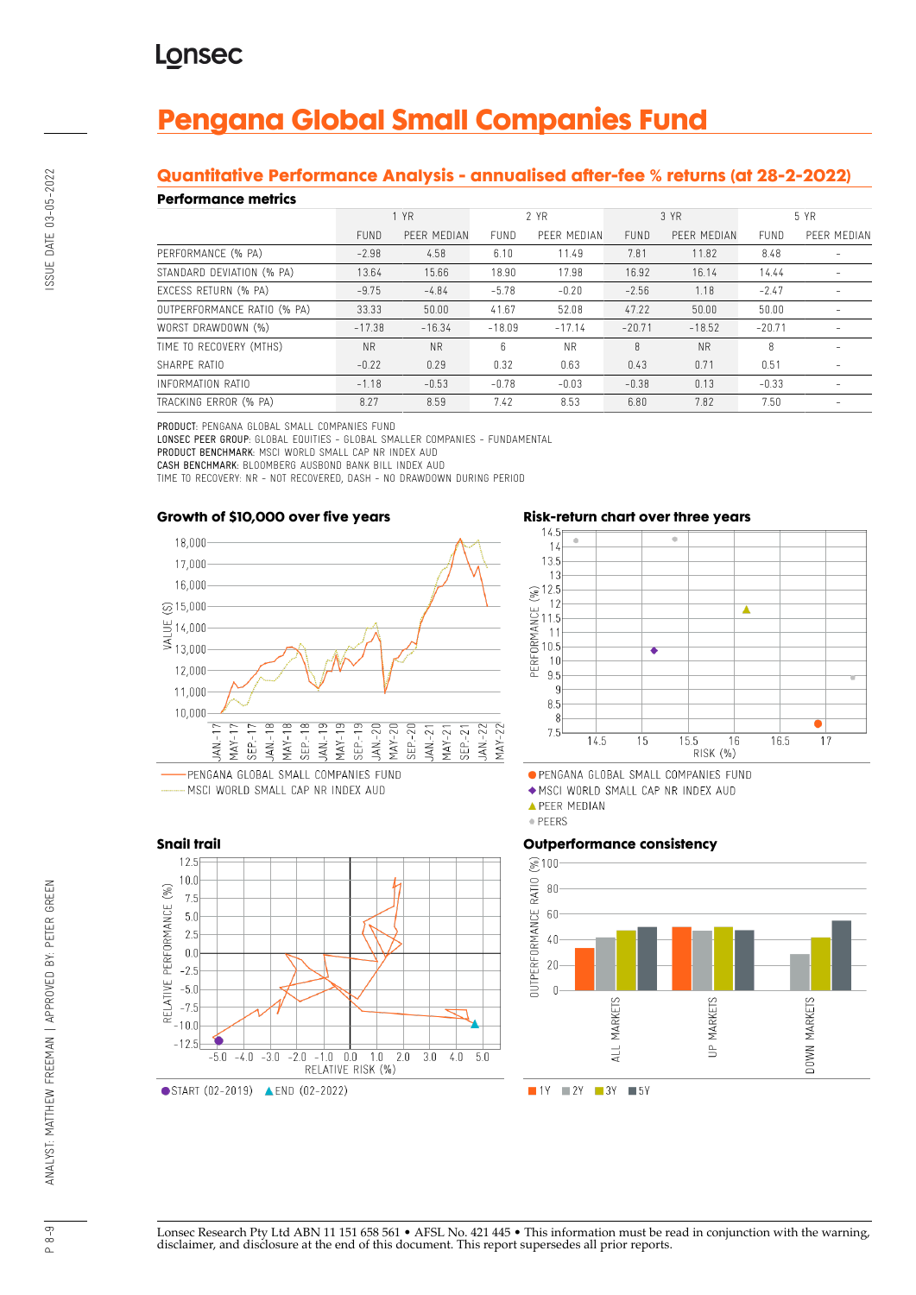# **Pengana Global Small Companies Fund**

### **Quantitative Performance Analysis - annualised after-fee % returns (at 28-2-2022)**

#### **Performance metrics**

| . YN SITTINISY MITHY        |             |             |             |             |             |             |             |             |
|-----------------------------|-------------|-------------|-------------|-------------|-------------|-------------|-------------|-------------|
|                             | 1 YR        |             | 2 YR        |             | 3 YR        |             | 5 YR        |             |
|                             | <b>FUND</b> | PFFR MEDIAN | <b>FUND</b> | PFFR MFDIAN | <b>FUND</b> | PFFR MFDIAN | <b>FUND</b> | PFFR MFDIAN |
| PERFORMANCE (% PA)          | $-2.98$     | 4.58        | 6.10        | 11.49       | 7.81        | 11.82       | 8.48        |             |
| STANDARD DEVIATION (% PA)   | 13.64       | 15.66       | 18.90       | 17.98       | 16.92       | 16.14       | 14.44       |             |
| EXCESS RETURN (% PA)        | $-9.75$     | $-4.84$     | $-5.78$     | $-0.20$     | $-2.56$     | 1.18        | $-2.47$     |             |
| OUTPERFORMANCE RATIO (% PA) | 33.33       | 50.00       | 41.67       | 52.08       | 47.22       | 50.00       | 50.00       |             |
| WORST DRAWDOWN (%)          | $-17.38$    | $-16.34$    | $-18.09$    | $-17.14$    | $-20.71$    | $-18.52$    | $-20.71$    |             |
| TIME TO RECOVERY (MTHS)     | <b>NR</b>   | <b>NR</b>   | 6.          | <b>NR</b>   | 8           | <b>NR</b>   | 8           |             |
| SHARPE RATIO                | $-0.22$     | 0.29        | 0.32        | 0.63        | 0.43        | 0.71        | 0.51        |             |
| INFORMATION RATIO           | $-1.18$     | $-0.53$     | $-0.78$     | $-0.03$     | $-0.38$     | 0.13        | $-0.33$     |             |
| TRACKING ERROR (% PA)       | 8.27        | 8.59        | 7.42        | 8.53        | 6.80        | 7.82        | 7.50        |             |

PRODUCT: PENGANA GLOBAL SMALL COMPANIES FUND

LONSEC PEER GROUP: GLOBAL EQUITIES - GLOBAL SMALLER COMPANIES - FUNDAMENTAL PRODUCT BENCHMARK: MSCI WORLD SMALL CAP NR INDEX AUD CASH BENCHMARK: BLOOMBERG AUSBOND BANK BILL INDEX AUD

TIME TO RECOVERY: NR - NOT RECOVERED, DASH - NO DRAWDOWN DURING PERIOD

#### **Growth of \$10,000 over five years**



..... MSCI WORLD SMALL CAP NR INDEX AUD





· PENGANA GLOBAL SMALL COMPANIES FUND

MSCI WORLD SMALL CAP NR INDEX AUD

**APEER MEDIAN** 

· PEERS

## **Outperformance consistency**





Lonsec Research Pty Ltd ABN 11 151 658 561 • AFSL No. 421 445 • This information must be read in conjunction with the warning, disclaimer, and disclosure at the end of this document. This report supersedes all prior reports.

 $\sim$